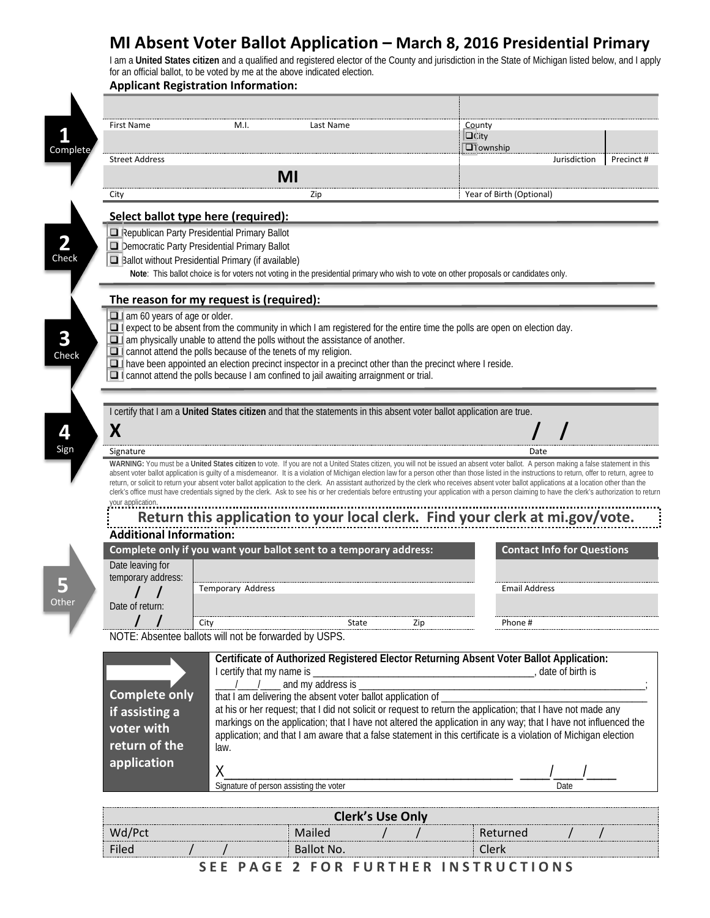## **MI Absent Voter Ballot Application – March 8, 2016 Presidential Primary**

I am a **United States citizen** and a qualified and registered elector of the County and jurisdiction in the State of Michigan listed below, and I apply for an official ballot, to be voted by me at the above indicated election.

| <b>First Name</b>                                                                                                | M.I.                                                                 | Last Name                                                                                                                                                                                                      | County                                                                                                                                                                                                                                                                                                                                                                                               |                                           |
|------------------------------------------------------------------------------------------------------------------|----------------------------------------------------------------------|----------------------------------------------------------------------------------------------------------------------------------------------------------------------------------------------------------------|------------------------------------------------------------------------------------------------------------------------------------------------------------------------------------------------------------------------------------------------------------------------------------------------------------------------------------------------------------------------------------------------------|-------------------------------------------|
|                                                                                                                  |                                                                      |                                                                                                                                                                                                                | $\Box$ City                                                                                                                                                                                                                                                                                                                                                                                          |                                           |
|                                                                                                                  |                                                                      |                                                                                                                                                                                                                | $\overline{u}$ Township                                                                                                                                                                                                                                                                                                                                                                              |                                           |
| <b>Street Address</b>                                                                                            |                                                                      |                                                                                                                                                                                                                |                                                                                                                                                                                                                                                                                                                                                                                                      | Jurisdiction                              |
|                                                                                                                  |                                                                      | MI                                                                                                                                                                                                             |                                                                                                                                                                                                                                                                                                                                                                                                      |                                           |
| City                                                                                                             |                                                                      | Zip                                                                                                                                                                                                            | Year of Birth (Optional)                                                                                                                                                                                                                                                                                                                                                                             |                                           |
|                                                                                                                  | Select ballot type here (required):                                  |                                                                                                                                                                                                                |                                                                                                                                                                                                                                                                                                                                                                                                      |                                           |
|                                                                                                                  | Republican Party Presidential Primary Ballot                         |                                                                                                                                                                                                                |                                                                                                                                                                                                                                                                                                                                                                                                      |                                           |
|                                                                                                                  | Democratic Party Presidential Primary Ballot                         |                                                                                                                                                                                                                |                                                                                                                                                                                                                                                                                                                                                                                                      |                                           |
|                                                                                                                  | Ballot without Presidential Primary (if available)                   |                                                                                                                                                                                                                |                                                                                                                                                                                                                                                                                                                                                                                                      |                                           |
|                                                                                                                  |                                                                      |                                                                                                                                                                                                                | Note: This ballot choice is for voters not voting in the presidential primary who wish to vote on other proposals or candidates only.                                                                                                                                                                                                                                                                |                                           |
|                                                                                                                  | The reason for my request is (required):                             |                                                                                                                                                                                                                |                                                                                                                                                                                                                                                                                                                                                                                                      |                                           |
| 1 am 60 years of age or older.                                                                                   |                                                                      |                                                                                                                                                                                                                |                                                                                                                                                                                                                                                                                                                                                                                                      |                                           |
|                                                                                                                  |                                                                      |                                                                                                                                                                                                                | $\Box$ expect to be absent from the community in which I am registered for the entire time the polls are open on election day.                                                                                                                                                                                                                                                                       |                                           |
|                                                                                                                  |                                                                      | $\Box$ am physically unable to attend the polls without the assistance of another.                                                                                                                             |                                                                                                                                                                                                                                                                                                                                                                                                      |                                           |
|                                                                                                                  | $\Box$ cannot attend the polls because of the tenets of my religion. |                                                                                                                                                                                                                |                                                                                                                                                                                                                                                                                                                                                                                                      |                                           |
|                                                                                                                  |                                                                      | $\Box$ have been appointed an election precinct inspector in a precinct other than the precinct where I reside.<br>$\Box$ cannot attend the polls because I am confined to jail awaiting arraignment or trial. |                                                                                                                                                                                                                                                                                                                                                                                                      |                                           |
|                                                                                                                  |                                                                      |                                                                                                                                                                                                                |                                                                                                                                                                                                                                                                                                                                                                                                      |                                           |
|                                                                                                                  |                                                                      |                                                                                                                                                                                                                |                                                                                                                                                                                                                                                                                                                                                                                                      |                                           |
|                                                                                                                  |                                                                      |                                                                                                                                                                                                                | I certify that I am a United States citizen and that the statements in this absent voter ballot application are true.                                                                                                                                                                                                                                                                                |                                           |
| X                                                                                                                |                                                                      |                                                                                                                                                                                                                |                                                                                                                                                                                                                                                                                                                                                                                                      |                                           |
|                                                                                                                  |                                                                      |                                                                                                                                                                                                                |                                                                                                                                                                                                                                                                                                                                                                                                      |                                           |
| Signature                                                                                                        |                                                                      |                                                                                                                                                                                                                |                                                                                                                                                                                                                                                                                                                                                                                                      | Date                                      |
|                                                                                                                  |                                                                      |                                                                                                                                                                                                                | WARNING: You must be a United States citizen to vote. If you are not a United States citizen, you will not be issued an absent voter ballot. A person making a false statement in this                                                                                                                                                                                                               |                                           |
|                                                                                                                  |                                                                      |                                                                                                                                                                                                                | absent voter ballot application is guilty of a misdemeanor. It is a violation of Michigan election law for a person other than those listed in the instructions to return, offer to return, agree to                                                                                                                                                                                                 |                                           |
|                                                                                                                  |                                                                      |                                                                                                                                                                                                                |                                                                                                                                                                                                                                                                                                                                                                                                      |                                           |
|                                                                                                                  |                                                                      |                                                                                                                                                                                                                | return, or solicit to return your absent voter ballot application to the clerk. An assistant authorized by the clerk who receives absent voter ballot applications at a location other than the<br>clerk's office must have credentials signed by the clerk. Ask to see his or her credentials before entrusting your application with a person claiming to have the clerk's authorization to return |                                           |
|                                                                                                                  |                                                                      |                                                                                                                                                                                                                |                                                                                                                                                                                                                                                                                                                                                                                                      |                                           |
|                                                                                                                  |                                                                      |                                                                                                                                                                                                                |                                                                                                                                                                                                                                                                                                                                                                                                      |                                           |
|                                                                                                                  |                                                                      |                                                                                                                                                                                                                | Return this application to your local clerk. Find your clerk at mi.gov/vote.                                                                                                                                                                                                                                                                                                                         |                                           |
|                                                                                                                  |                                                                      | Complete only if you want your ballot sent to a temporary address:                                                                                                                                             |                                                                                                                                                                                                                                                                                                                                                                                                      |                                           |
|                                                                                                                  |                                                                      |                                                                                                                                                                                                                |                                                                                                                                                                                                                                                                                                                                                                                                      |                                           |
|                                                                                                                  |                                                                      |                                                                                                                                                                                                                |                                                                                                                                                                                                                                                                                                                                                                                                      |                                           |
|                                                                                                                  | Temporary Address                                                    |                                                                                                                                                                                                                | <b>Email Address</b>                                                                                                                                                                                                                                                                                                                                                                                 |                                           |
|                                                                                                                  |                                                                      |                                                                                                                                                                                                                |                                                                                                                                                                                                                                                                                                                                                                                                      |                                           |
| your application.<br><b>Additional Information:</b><br>Date leaving for<br>temporary address:<br>Date of return: | City                                                                 | State                                                                                                                                                                                                          | Zip<br>Phone #                                                                                                                                                                                                                                                                                                                                                                                       |                                           |
|                                                                                                                  | NOTE: Absentee ballots will not be forwarded by USPS.                |                                                                                                                                                                                                                |                                                                                                                                                                                                                                                                                                                                                                                                      |                                           |
|                                                                                                                  |                                                                      |                                                                                                                                                                                                                |                                                                                                                                                                                                                                                                                                                                                                                                      |                                           |
|                                                                                                                  |                                                                      |                                                                                                                                                                                                                | Certificate of Authorized Registered Elector Returning Absent Voter Ballot Application:                                                                                                                                                                                                                                                                                                              |                                           |
|                                                                                                                  | I certify that my name is                                            |                                                                                                                                                                                                                | date of birth is                                                                                                                                                                                                                                                                                                                                                                                     |                                           |
|                                                                                                                  |                                                                      | and my address is _                                                                                                                                                                                            |                                                                                                                                                                                                                                                                                                                                                                                                      |                                           |
|                                                                                                                  |                                                                      | that I am delivering the absent voter ballot application of _                                                                                                                                                  |                                                                                                                                                                                                                                                                                                                                                                                                      |                                           |
|                                                                                                                  |                                                                      |                                                                                                                                                                                                                | at his or her request; that I did not solicit or request to return the application; that I have not made any                                                                                                                                                                                                                                                                                         |                                           |
| <b>Complete only</b><br>voter with                                                                               |                                                                      |                                                                                                                                                                                                                | markings on the application; that I have not altered the application in any way; that I have not influenced the                                                                                                                                                                                                                                                                                      |                                           |
|                                                                                                                  | law.                                                                 |                                                                                                                                                                                                                | application; and that I am aware that a false statement in this certificate is a violation of Michigan election                                                                                                                                                                                                                                                                                      |                                           |
| if assisting a<br>return of the                                                                                  |                                                                      |                                                                                                                                                                                                                |                                                                                                                                                                                                                                                                                                                                                                                                      |                                           |
| application                                                                                                      | Χ                                                                    |                                                                                                                                                                                                                |                                                                                                                                                                                                                                                                                                                                                                                                      |                                           |
|                                                                                                                  | Signature of person assisting the voter                              |                                                                                                                                                                                                                |                                                                                                                                                                                                                                                                                                                                                                                                      | <b>Contact Info for Questions</b><br>Date |
|                                                                                                                  |                                                                      |                                                                                                                                                                                                                |                                                                                                                                                                                                                                                                                                                                                                                                      |                                           |
| Wd/Pct                                                                                                           |                                                                      | <b>Clerk's Use Only</b><br>Mailed                                                                                                                                                                              | Returned                                                                                                                                                                                                                                                                                                                                                                                             |                                           |